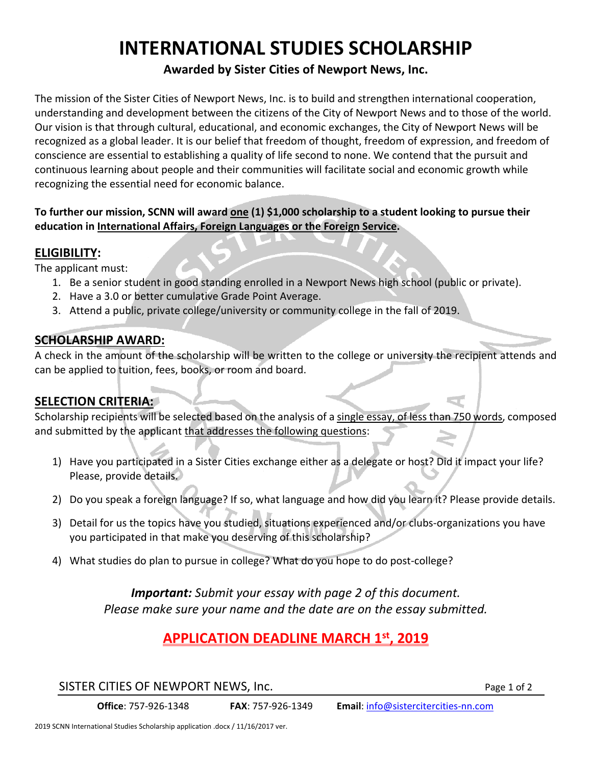# **INTERNATIONAL STUDIES SCHOLARSHIP**

### **Awarded by Sister Cities of Newport News, Inc.**

The mission of the Sister Cities of Newport News, Inc. is to build and strengthen international cooperation, understanding and development between the citizens of the City of Newport News and to those of the world. Our vision is that through cultural, educational, and economic exchanges, the City of Newport News will be recognized as a global leader. It is our belief that freedom of thought, freedom of expression, and freedom of conscience are essential to establishing a quality of life second to none. We contend that the pursuit and continuous learning about people and their communities will facilitate social and economic growth while recognizing the essential need for economic balance.

#### **To further our mission, SCNN will award one (1) \$1,000 scholarship to a student looking to pursue their education in International Affairs, Foreign Languages or the Foreign Service.**

#### **ELIGIBILITY:**

The applicant must:

- 1. Be a senior student in good standing enrolled in a Newport News high school (public or private).
- 2. Have a 3.0 or better cumulative Grade Point Average.
- 3. Attend a public, private college/university or community college in the fall of 2019.

#### **SCHOLARSHIP AWARD:**

A check in the amount of the scholarship will be written to the college or university the recipient attends and can be applied to tuition, fees, books, or room and board.

#### **SELECTION CRITERIA:**

Scholarship recipients will be selected based on the analysis of a single essay, of less than 750 words, composed and submitted by the applicant that addresses the following questions:

- 1) Have you participated in a Sister Cities exchange either as a delegate or host? Did it impact your life? Please, provide details.
- 2) Do you speak a foreign language? If so, what language and how did you learn it? Please provide details.
- 3) Detail for us the topics have you studied, situations experienced and/or clubs‐organizations you have you participated in that make you deserving of this scholarship?
- 4) What studies do plan to pursue in college? What do you hope to do post-college?

*Important: Submit your essay with page 2 of this document. Please make sure your name and the date are on the essay submitted.* 

## **APPLICATION DEADLINE MARCH 1st, 2019**

SISTER CITIES OF NEWPORT NEWS, Inc. The state of the state of 2 set and 2 set al. of 2

**Office**: 757‐926‐1348 **FAX**: 757‐926‐1349 **Email**: info@sistercitercities‐nn.com